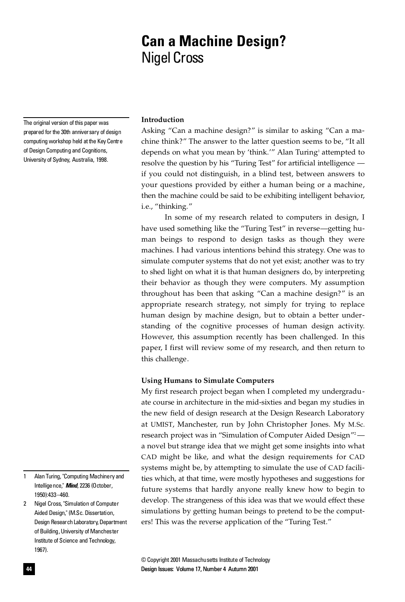# **Can a Machine Design? Nigel Cross**

The original version of this paper was prepared for the 30th anniversary of design computing workshop held at the Key Centre of Design Computing and Cognitions, University of Sydney, Australia, 1998.

## **Introduction**

Asking "Can a machine design?" is similar to asking "Can a machine think?" The answer to the latter question seems to be, "It all depends on what you mean by 'think.'" Alan Turing <sup>1</sup> attempted to resolve the question by his "Turing Test" for artificial intelligence if you could not distinguish, in a blind test, between answers to your questions provided by either a human being or a machine, then the machine could be said to be exhibiting intelligent behavior, i.e., "thinking."

In some of my research related to computers in design, I have used something like the "Turing Test" in reverse—getting hu man beings to respond to design tasks as though they were machines. I had various intentions behind this strategy. One was to simulate computer systems that do not yet exist; another was to try to shed light on what it is that human designers do, by interpreting their behavior as though they were computers. My assumption throughout has been that asking "Can a machine design?" is an appropriate research strategy, not simply for trying to replace human design by machine design, but to obtain a better understanding of the cognitive processes of human design activity. However, this assumption recently has been challenged. In this paper, I first will review some of my research, and then return to this challenge.

### **Using Humans to Simulate Computers**

My first research project began when I completed my undergradu ate course in architecture in the mid-sixties and began my studies in the new field of design research at the Design Research Laboratory at UMIST, Manchester, run by John Christopher Jones. My M.Sc. research project was in "Simulation of Computer Aided Design" <sup>2</sup> a novel but strange idea that we might get some insights into what CAD might be like, and what the design requirements for CAD systems might be, by attempting to simulate the use of CAD facilities which, at that time, were mostly hypotheses and suggestions for future systems that hardly anyone really knew how to begin to develop. The strangeness of this idea was that we would effect these simulations by getting human beings to pretend to be the comput ers! This was the reverse application of the "Turing Test."

2 Nigel Cross, "Simulation of Computer Aided Design," (M.Sc. Dissertation, Design Research Laboratory, Department of Building, University of Manchester Institute of Science and Technology, 1967).

<sup>1</sup> Alan Turing, "Computing Machinery and Intelligence," *Mind*, 2236 (October, 1950):433–460.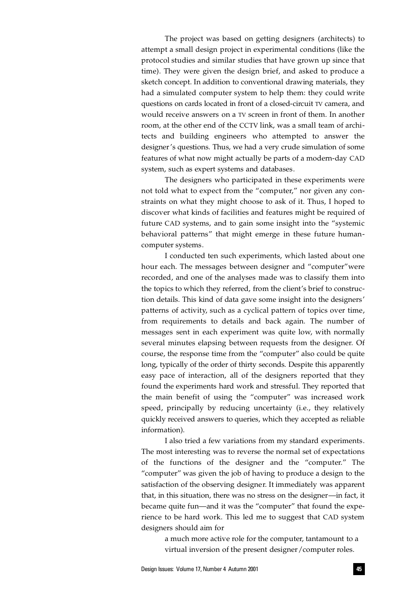The project was based on getting designers (architects) to attempt a small design project in experimental conditions (like the protocol studies and similar studies that have grown up since that time). They were given the design brief, and asked to produce a sketch concept. In addition to conventional drawing materials, they had a simulated computer system to help them: they could write questions on cards located in front of a closed-circuit TV camera, and would receive answers on a TV screen in front of them. In another room, at the other end of the CCTV link, was a small team of architects and building engineers who attempted to answer the designer's questions. Thus, we had a very crude simulation of some features of what now might actually be parts of a modern-day CAD system, such as expert systems and databases.

The designers who participated in these experiments were not told what to expect from the "computer," nor given any constraints on what they might choose to ask of it. Thus, I hoped to discover what kinds of facilities and features might be required of future CAD systems, and to gain some insight into the "systemic behavioral patterns" that might emerge in these future humancomputer systems.

I conducted ten such experiments, which lasted about one hour each. The messages between designer and "computer"were recorded, and one of the analyses made was to classify them into the topics to which they referred, from the client's brief to construction details. This kind of data gave some insight into the designers' patterns of activity, such as a cyclical pattern of topics over time, from requirements to details and back again. The number of messages sent in each experiment was quite low, with normally several minutes elapsing between requests from the designer. Of course, the response time from the "computer" also could be quite long, typically of the order of thirty seconds. Despite this apparently easy pace of interaction, all of the designers reported that they found the experiments hard work and stressful. They reported that the main benefit of using the "computer" was increased work speed, principally by reducing uncertainty (i.e., they relatively quickly received answers to queries, which they accepted as reliable information).

I also tried a few variations from my standard experiments. The most interesting was to reverse the normal set of expectations of the functions of the designer and the "computer." The "computer" was given the job of having to produce a design to the satisfaction of the observing designer. It immediately was apparent that, in this situation, there was no stress on the designer—in fact, it became quite fun—and it was the "computer" that found the experience to be hard work. This led me to suggest that CAD system designers should aim for<br>a much more active role for the computer, tantamount to a

virtual inversion of the present designer/computer roles.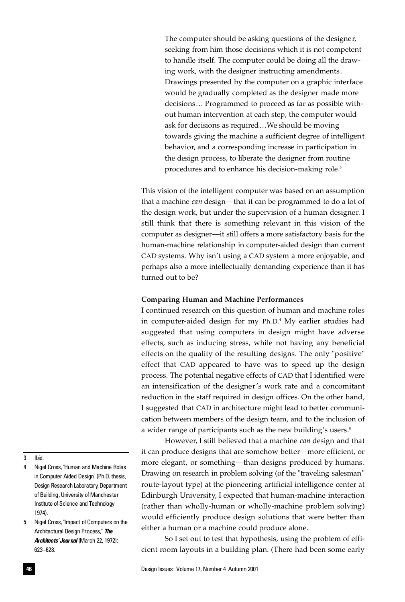The computer should be asking questions of the designer, seeking from him those decisions which it is not competent to handle itself. The computer could be doing all the drawing work, with the designer instructing amendments. Drawings presented by the computer on a graphic interface would be gradually completed as the designer made more decisions… Programmed to proceed as far as possible with out human intervention at each step, the computer would ask for decisions as required…We should be moving towards giving the machine a sufficient degree of intelligent behavior, and a corresponding increase in participation in the design process, to liberate the designer from routine procedures and to enhance his decision-making role. 3

This vision of the intelligent computer was based on an assumption that a machine *can* design—that it can be programmed to do a lot of the design work, but under the supervision of a human designer. I still think that there is something relevant in this vision of the computer as designer—it still offers a more satisfactory basis for the human-machine relationship in computer-aided design than current CAD systems. Why isn't using a CAD system a more enjoyable, and perhaps also a more intellectually demanding experience than it has turned out to be?

# **Comparing Human and Machine Performances**

I continued research on this question of human and machine roles in computer-aided design for my Ph.D.<sup>4</sup> My earlier studies had suggested that using computers in design might have adverse effects, such as inducing stress, while not having any beneficial effects on the quality of the resulting designs. The only "positive" effect that CAD appeared to have was to speed up the design process. The potential negative effects of CAD that I identified were an intensification of the designer's work rate and a concomitant reduction in the staff required in design offices. On the other hand, I suggested that CAD in architecture might lead to better communication between members of the design team, and to the inclusion of a wider range of participants such as the new building's users. 5

However, I still believed that a machine *can* design and that it can produce designs that are somehow better—more efficient, or more elegant, or something—than designs produced by humans. Drawing on research in problem solving (of the "traveling salesman" route-layout type) at the pioneering artificial intelligence center at Edinburgh University, I expected that human-machine interaction (rather than wholly-human or wholly-machine problem solving) would efficiently produce design solutions that were better than either a human or a machine could produce alone.

So I set out to test that hypothesis, using the problem of efficient room layouts in a building plan. (There had been some early

- 3 Ibid.
- 4 Nigel Cross, "Human and Machine Roles in Computer Aided Design" (Ph.D. thesis, Design Research Laboratory, Department of Building, University of Manchester Institute of Science and Technology 1974).
- 5 Nigel Cross, "Impact of Computers on the Architectural Design Process," *The Architects'Journal* (March 22, 1972): 623–628.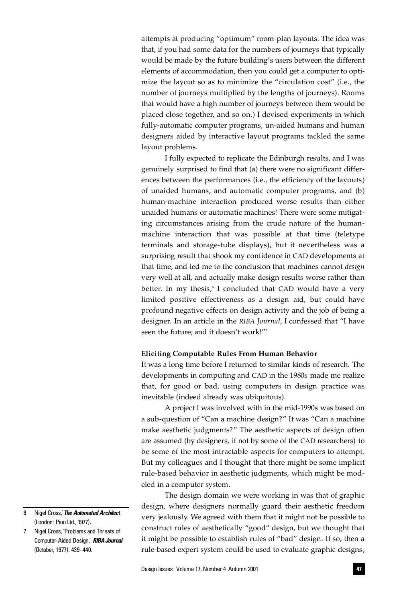attempts at producing "optimum" room-plan layouts. The idea was that, if you had some data for the numbers of journeys that typically would be made by the future building's users between the different elements of accommodation, then you could get a computer to opti mize the layout so as to minimize the "circulation cost" (i.e., the number of journeys multiplied by the lengths of journeys). Rooms that would have a high number of journeys between them would be placed close together, and so on.) I devised experiments in which fully-automatic computer programs, un-aided humans and human designers aided by interactive layout programs tackled the same layout problems.

I fully expected to replicate the Edinburgh results, and I was genuinely surprised to find that (a) there were no significant differ ences between the performances (i.e., the efficiency of the layouts) of unaided humans, and automatic computer programs, and (b) human-machine interaction produced worse results than either unaided humans or automatic machines! There were some mitigating circumstances arising from the crude nature of the human machine interaction that was possible at that time (teletype terminals and storage-tube displays), but it nevertheless was a surprising result that shook my confidence in CAD developments at that time, and led me to the conclusion that machines cannot *design* very well at all, and actually make design results worse rather than better. In my thesis, <sup>6</sup> I concluded that CAD would have a very limited positive effectiveness as a design aid, but could have profound negative effects on design activity and the job of being a designer. In an article in the *RIBA Journal*, I confessed that "I have seen the future; and it doesn't work!" 7

## **Eliciting Computable Rules From Human Behavior**

It was a long time before I returned to similar kinds of research. The developments in computing and CAD in the 1980s made me realize that, for good or bad, using computers in design practice was inevitable (indeed already was ubiquitous).

A project I was involved with in the mid-1990s was based on a sub-question of "Can a machine design?" It was "Can a machine make aesthetic judgments?" The aesthetic aspects of design often are assumed (by designers, if not by some of the CAD researchers) to be some of the most intractable aspects for computers to attempt. But my colleagues and I thought that there might be some implicit rule-based behavior in aesthetic judgments, which might be mod eled in a computer system.

The design domain we were working in was that of graphic design, where designers normally guard their aesthetic freedom very jealously. We agreed with them that it might not be possible to construct rules of aesthetically "good" design, but we thought that it might be possible to establish rules of "bad" design. If so, then a rule-based expert system could be used to evaluate graphic designs,

- 6 Nigel Cross,ˆ*The Automated Architec*t (London: Pion Ltd., 1977).
- 7 Nigel Cross, "Problems and Threats of Computer-Aided Design," *RIBA Journal* (October, 1977): 439–440.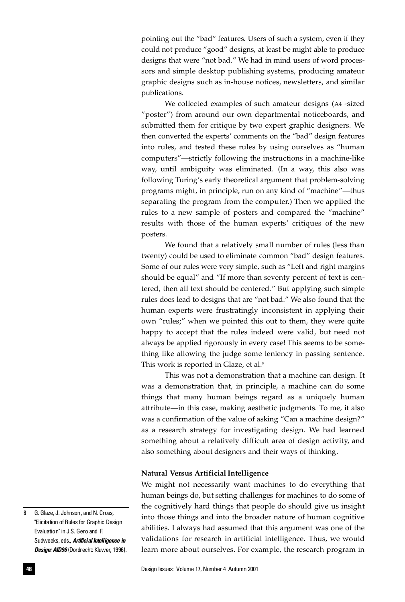pointing out the "bad" features. Users of such a system, even if they could not produce "good" designs, at least be might able to produce designs that were "not bad." We had in mind users of word processors and simple desktop publishing systems, producing amateur graphic designs such as in-house notices, newsletters, and similar publications.

We collected examples of such amateur designs (A4 -sized "poster") from around our own departmental noticeboards, and submitted them for critique by two expert graphic designers. We then converted the experts' comments on the "bad" design features into rules, and tested these rules by using ourselves as "human computers"—strictly following the instructions in a machine-like way, until ambiguity was eliminated. (In a way, this also was following Turing's early theoretical argument that problem-solving programs might, in principle, run on any kind of "machine"—thus separating the program from the computer.) Then we applied the rules to a new sample of posters and compared the "machine" results with those of the human experts' critiques of the new posters.

We found that a relatively small number of rules (less than twenty) could be used to eliminate common "bad" design features. Some of our rules were very simple, such as "Left and right margins should be equal" and "If more than seventy percent of text is centered, then all text should be centered." But applying such simple rules does lead to designs that are "not bad." We also found that the human experts were frustratingly inconsistent in applying their own "rules;" when we pointed this out to them, they were quite happy to accept that the rules indeed were valid, but need not always be applied rigorously in every case! This seems to be something like allowing the judge some leniency in passing sentence. This work is reported in Glaze, et al. 8

This was not a demonstration that a machine can design. It was a demonstration that, in principle, a machine can do some things that many human beings regard as a uniquely human attribute—in this case, making aesthetic judgments. To me, it also was a confirmation of the value of asking "Can a machine design?" as a research strategy for investigating design. We had learned something about a relatively difficult area of design activity, and also something about designers and their ways of thinking.

### **Natural Versus Artificial Intelligence**

We might not necessarily want machines to do everything that human beings do, but setting challenges for machines to do some of the cognitively hard things that people do should give us insight into those things and into the broader nature of human cognitive abilities. I always had assumed that this argument was one of the validations for research in artificial intelligence. Thus, we would learn more about ourselves. For example, the research program in

<sup>8</sup> G. Glaze, J. Johnson, and N. Cross, "Elicitation of Rules for Graphic Design Evaluation" in J.S. Gero and F. Sudweeks, eds., *Artificial Intelligence in Design: AID96* (Dordrecht: Kluwer, 1996).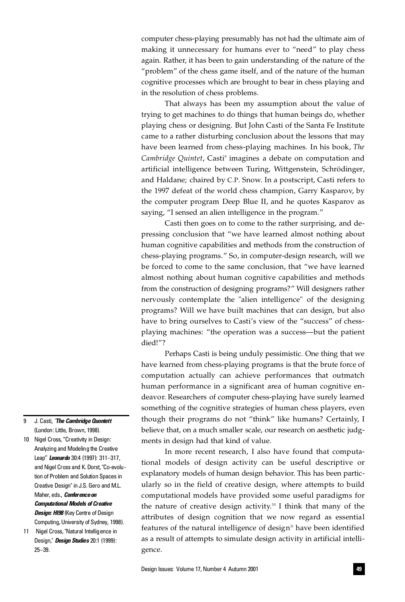computer chess-playing presumably has not had the ultimate aim of making it unnecessary for humans ever to "need" to play chess again. Rather, it has been to gain understanding of the nature of the "problem" of the chess game itself, and of the nature of the human cognitive processes which are brought to bear in chess playing and in the resolution of chess problems.

That always has been my assumption about the value of trying to get machines to do things that human beings do, whether playing chess or designing. But John Casti of the Santa Fe Institute came to a rather disturbing conclusion about the lessons that may have been learned from chess-playing machines. In his book, *The* Cambridge Quintet, Casti<sup>9</sup> imagines a debate on computation and artificial intelligence between Turing, Wittgenstein, Schrödinger, and Haldane; chaired by C.P. Snow. In a postscript, Casti refers to the 1997 defeat of the world chess champion, Garry Kasparov, by the computer program Deep Blue II, and he quotes Kasparov as saying, "I sensed an alien intelligence in the program."

Casti then goes on to come to the rather surprising, and de pressing conclusion that "we have learned almost nothing about human cognitive capabilities and methods from the construction of chess-playing programs." So, in computer-design research, will we be forced to come to the same conclusion, that "we have learned almost nothing about human cognitive capabilities and methods from the construction of designing programs?" Will designers rather nervously contemplate the "alien intelligence" of the designing programs? Will we have built machines that can design, but also have to bring ourselves to Casti's view of the "success" of chess playing machines: "the operation was a success—but the patient died!"?

Perhaps Casti is being unduly pessimistic. One thing that we have learned from chess-playing programs is that the brute force of computation actually can achieve performances that outmatch human performance in a significant area of human cognitive en deavor. Researchers of computer chess-playing have surely learned something of the cognitive strategies of human chess players, even though their programs do not "think" like humans? Certainly, I believe that, on a much smaller scale, our research on aesthetic judg ments in design had that kind of value.

In more recent research, I also have found that computational models of design activity can be useful descriptive or explanatory models of human design behavior. This has been partic ularly so in the field of creative design, where attempts to build computational models have provided some useful paradigms for the nature of creative design activity.<sup>10</sup> I think that many of the attributes of design cognition that we now regard as essential features of the natural intelligence of design<sup>11</sup> have been identified as a result of attempts to simulate design activity in artificial intelli gence.

- 9 J. Casti, *ˆThe Cambridge Quontett* (London: Little, Brown, 1998).
- 10 Nigel Cross, "Creativity in Design: Analyzing and Modeling the Creative Leap" *Leonardo* 30:4 (1997): 311–317, and Nigel Cross and K. Dorst, "Co-evolution of Problem and Solution Spaces in Creative Design" in J.S. Gero and M.L. Maher, eds., **Conference on** *Computational Models of Creative Design: HI98* (Key Centre of Design Computing, University of Sydney, 1998).
- 11 Nigel Cross, "Natural Intelligence in Design," *Design Studies* 20:1 (1999): 25–39.